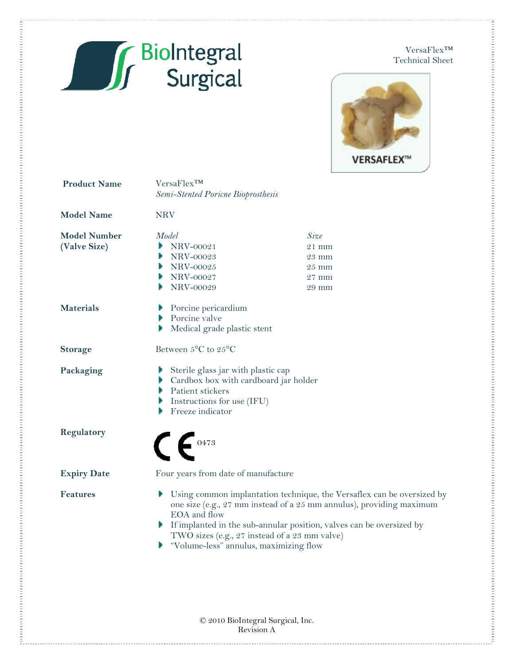

. The concernation of the concernation of the concernation of the concernation of the concernation of the concernation of the concernation of the concernation of the concernation of the concernation of the concernation of

Ē.

VersaFlex™ Technical Sheet . The construction of the construction of the construction of the construction of the construction of the construction of the construction of the construction of the construction of the construction of the construction of



| <b>Product Name</b>                 | VersaFlex <sup>TM</sup><br>Semi-Stented Poricne Bioprosthesis                                                                                                                 |                                                                                                                                                                                                                                                                           |  |  |
|-------------------------------------|-------------------------------------------------------------------------------------------------------------------------------------------------------------------------------|---------------------------------------------------------------------------------------------------------------------------------------------------------------------------------------------------------------------------------------------------------------------------|--|--|
| <b>Model Name</b>                   | <b>NRV</b>                                                                                                                                                                    |                                                                                                                                                                                                                                                                           |  |  |
| <b>Model Number</b><br>(Valve Size) | Model<br>$\blacktriangleright$ NRV-00021<br>Þ<br>NRV-00023<br>$\blacktriangleright$ NRV-00025<br>$\blacktriangleright$ NRV-00027<br>NRV-00029                                 | Size<br>$21$ mm<br>$23 \text{ mm}$<br>25 mm<br>$27 \text{ mm}$<br>29 mm                                                                                                                                                                                                   |  |  |
| <b>Materials</b>                    | $\blacktriangleright$ Porcine pericardium<br>$\blacktriangleright$ Porcine valve<br>Medical grade plastic stent<br>Þ                                                          |                                                                                                                                                                                                                                                                           |  |  |
| <b>Storage</b>                      | Between 5°C to 25°C                                                                                                                                                           |                                                                                                                                                                                                                                                                           |  |  |
| Packaging                           | Sterile glass jar with plastic cap<br>Cardbox box with cardboard jar holder<br>Patient stickers<br>$\blacktriangleright$ Instructions for use (IFU)<br>Freeze indicator<br>Þ. |                                                                                                                                                                                                                                                                           |  |  |
| Regulatory                          | $\bigcap$ $\bigcap$ 0473                                                                                                                                                      |                                                                                                                                                                                                                                                                           |  |  |
| <b>Expiry Date</b>                  | Four years from date of manufacture                                                                                                                                           |                                                                                                                                                                                                                                                                           |  |  |
| <b>Features</b>                     | EOA and flow<br>• "Volume-less" annulus, maximizing flow                                                                                                                      | ▶ Using common implantation technique, the Versaflex can be oversized by<br>one size (e.g., 27 mm instead of a 25 mm annulus), providing maximum<br>If implanted in the sub-annular position, valves can be oversized by<br>TWO sizes (e.g., 27 instead of a 23 mm valve) |  |  |